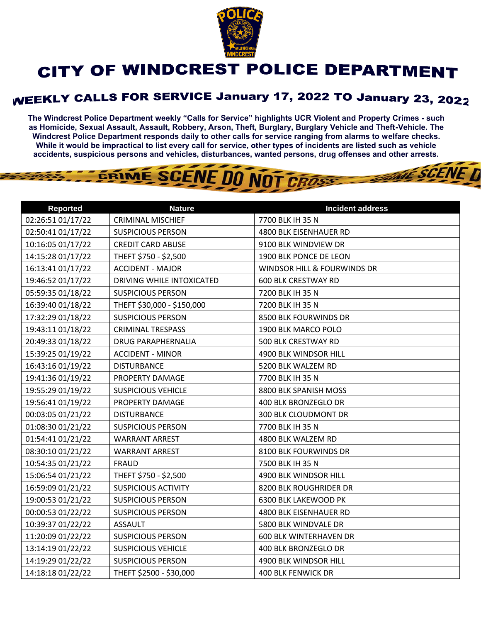

## **CITY OF WINDCREST POLICE DEPARTMENT**

## **WEEKLY CALLS FOR SERVICE January 17, 2022 TO January 23, 2022**

**The Windcrest Police Department weekly "Calls for Service" highlights UCR Violent and Property Crimes - such as Homicide, Sexual Assault, Assault, Robbery, Arson, Theft, Burglary, Burglary Vehicle and Theft-Vehicle. The Windcrest Police Department responds daily to other calls for service ranging from alarms to welfare checks. While it would be impractical to list every call for service, other types of incidents are listed such as vehicle accidents, suspicious persons and vehicles, disturbances, wanted persons, drug offenses and other arrests.** 

**THE SCENE D** 

## GRIME SCENE DO NOT CROSS

| <b>Reported</b>   | <b>Nature</b>              | <b>Incident address</b>       |
|-------------------|----------------------------|-------------------------------|
| 02:26:51 01/17/22 | <b>CRIMINAL MISCHIEF</b>   | 7700 BLK IH 35 N              |
| 02:50:41 01/17/22 | <b>SUSPICIOUS PERSON</b>   | 4800 BLK EISENHAUER RD        |
| 10:16:05 01/17/22 | <b>CREDIT CARD ABUSE</b>   | 9100 BLK WINDVIEW DR          |
| 14:15:28 01/17/22 | THEFT \$750 - \$2,500      | 1900 BLK PONCE DE LEON        |
| 16:13:41 01/17/22 | <b>ACCIDENT - MAJOR</b>    | WINDSOR HILL & FOURWINDS DR   |
| 19:46:52 01/17/22 | DRIVING WHILE INTOXICATED  | <b>600 BLK CRESTWAY RD</b>    |
| 05:59:35 01/18/22 | <b>SUSPICIOUS PERSON</b>   | 7200 BLK IH 35 N              |
| 16:39:40 01/18/22 | THEFT \$30,000 - \$150,000 | 7200 BLK IH 35 N              |
| 17:32:29 01/18/22 | <b>SUSPICIOUS PERSON</b>   | 8500 BLK FOURWINDS DR         |
| 19:43:11 01/18/22 | <b>CRIMINAL TRESPASS</b>   | 1900 BLK MARCO POLO           |
| 20:49:33 01/18/22 | <b>DRUG PARAPHERNALIA</b>  | 500 BLK CRESTWAY RD           |
| 15:39:25 01/19/22 | <b>ACCIDENT - MINOR</b>    | 4900 BLK WINDSOR HILL         |
| 16:43:16 01/19/22 | <b>DISTURBANCE</b>         | 5200 BLK WALZEM RD            |
| 19:41:36 01/19/22 | PROPERTY DAMAGE            | 7700 BLK IH 35 N              |
| 19:55:29 01/19/22 | <b>SUSPICIOUS VEHICLE</b>  | 8800 BLK SPANISH MOSS         |
| 19:56:41 01/19/22 | PROPERTY DAMAGE            | 400 BLK BRONZEGLO DR          |
| 00:03:05 01/21/22 | <b>DISTURBANCE</b>         | 300 BLK CLOUDMONT DR          |
| 01:08:30 01/21/22 | <b>SUSPICIOUS PERSON</b>   | 7700 BLK IH 35 N              |
| 01:54:41 01/21/22 | <b>WARRANT ARREST</b>      | 4800 BLK WALZEM RD            |
| 08:30:10 01/21/22 | <b>WARRANT ARREST</b>      | 8100 BLK FOURWINDS DR         |
| 10:54:35 01/21/22 | <b>FRAUD</b>               | 7500 BLK IH 35 N              |
| 15:06:54 01/21/22 | THEFT \$750 - \$2,500      | 4900 BLK WINDSOR HILL         |
| 16:59:09 01/21/22 | <b>SUSPICIOUS ACTIVITY</b> | 8200 BLK ROUGHRIDER DR        |
| 19:00:53 01/21/22 | <b>SUSPICIOUS PERSON</b>   | 6300 BLK LAKEWOOD PK          |
| 00:00:53 01/22/22 | <b>SUSPICIOUS PERSON</b>   | 4800 BLK EISENHAUER RD        |
| 10:39:37 01/22/22 | <b>ASSAULT</b>             | 5800 BLK WINDVALE DR          |
| 11:20:09 01/22/22 | <b>SUSPICIOUS PERSON</b>   | <b>600 BLK WINTERHAVEN DR</b> |
| 13:14:19 01/22/22 | <b>SUSPICIOUS VEHICLE</b>  | 400 BLK BRONZEGLO DR          |
| 14:19:29 01/22/22 | <b>SUSPICIOUS PERSON</b>   | 4900 BLK WINDSOR HILL         |
| 14:18:18 01/22/22 | THEFT \$2500 - \$30,000    | 400 BLK FENWICK DR            |